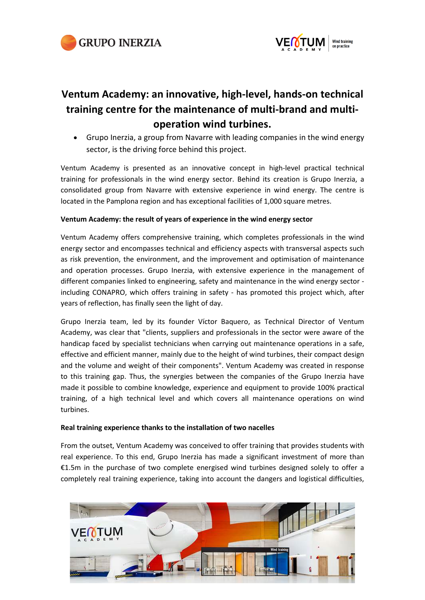



# **Ventum Academy: an innovative, high-level, hands-on technical training centre for the maintenance of multi-brand and multioperation wind turbines.**

• Grupo Inerzia, a group from Navarre with leading companies in the wind energy sector, is the driving force behind this project.

Ventum Academy is presented as an innovative concept in high-level practical technical training for professionals in the wind energy sector. Behind its creation is Grupo Inerzia, a consolidated group from Navarre with extensive experience in wind energy. The centre is located in the Pamplona region and has exceptional facilities of 1,000 square metres.

## **Ventum Academy: the result of years of experience in the wind energy sector**

Ventum Academy offers comprehensive training, which completes professionals in the wind energy sector and encompasses technical and efficiency aspects with transversal aspects such as risk prevention, the environment, and the improvement and optimisation of maintenance and operation processes. Grupo Inerzia, with extensive experience in the management of different companies linked to engineering, safety and maintenance in the wind energy sector including CONAPRO, which offers training in safety - has promoted this project which, after years of reflection, has finally seen the light of day.

Grupo Inerzia team, led by its founder Víctor Baquero, as Technical Director of Ventum Academy, was clear that "clients, suppliers and professionals in the sector were aware of the handicap faced by specialist technicians when carrying out maintenance operations in a safe, effective and efficient manner, mainly due to the height of wind turbines, their compact design and the volume and weight of their components". Ventum Academy was created in response to this training gap. Thus, the synergies between the companies of the Grupo Inerzia have made it possible to combine knowledge, experience and equipment to provide 100% practical training, of a high technical level and which covers all maintenance operations on wind turbines.

### **Real training experience thanks to the installation of two nacelles**

From the outset, Ventum Academy was conceived to offer training that provides students with real experience. To this end, Grupo Inerzia has made a significant investment of more than €1.5m in the purchase of two complete energised wind turbines designed solely to offer a completely real training experience, taking into account the dangers and logistical difficulties,

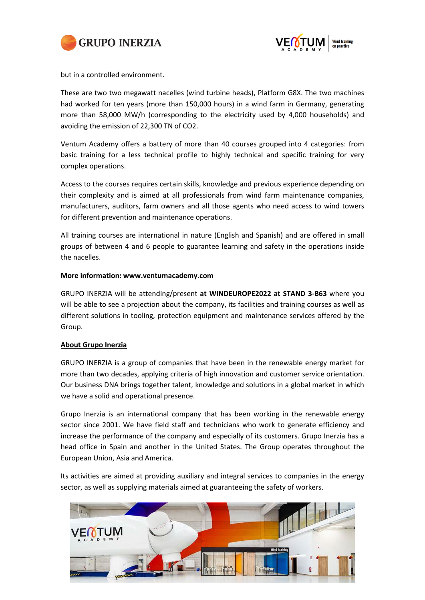



but in a controlled environment.

These are two two megawatt nacelles (wind turbine heads), Platform G8X. The two machines had worked for ten years (more than 150,000 hours) in a wind farm in Germany, generating more than 58,000 MW/h (corresponding to the electricity used by 4,000 households) and avoiding the emission of 22,300 TN of CO2.

Ventum Academy offers a battery of more than 40 courses grouped into 4 categories: from basic training for a less technical profile to highly technical and specific training for very complex operations.

Access to the courses requires certain skills, knowledge and previous experience depending on their complexity and is aimed at all professionals from wind farm maintenance companies, manufacturers, auditors, farm owners and all those agents who need access to wind towers for different prevention and maintenance operations.

All training courses are international in nature (English and Spanish) and are offered in small groups of between 4 and 6 people to guarantee learning and safety in the operations inside the nacelles.

#### **More information: www.ventumacademy.com**

GRUPO INERZIA will be attending/present **at WINDEUROPE2022 at STAND 3-B63** where you will be able to see a projection about the company, its facilities and training courses as well as different solutions in tooling, protection equipment and maintenance services offered by the Group.

### **About Grupo Inerzia**

GRUPO INERZIA is a group of companies that have been in the renewable energy market for more than two decades, applying criteria of high innovation and customer service orientation. Our business DNA brings together talent, knowledge and solutions in a global market in which we have a solid and operational presence.

Grupo Inerzia is an international company that has been working in the renewable energy sector since 2001. We have field staff and technicians who work to generate efficiency and increase the performance of the company and especially of its customers. Grupo Inerzia has a head office in Spain and another in the United States. The Group operates throughout the European Union, Asia and America.

Its activities are aimed at providing auxiliary and integral services to companies in the energy sector, as well as supplying materials aimed at guaranteeing the safety of workers.

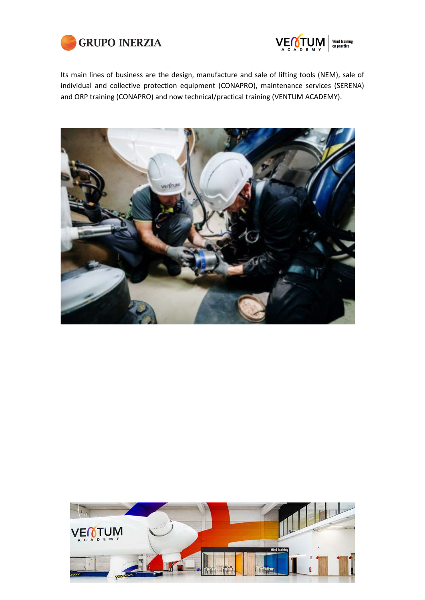



Its main lines of business are the design, manufacture and sale of lifting tools (NEM), sale of individual and collective protection equipment (CONAPRO), maintenance services (SERENA) and ORP training (CONAPRO) and now technical/practical training (VENTUM ACADEMY).



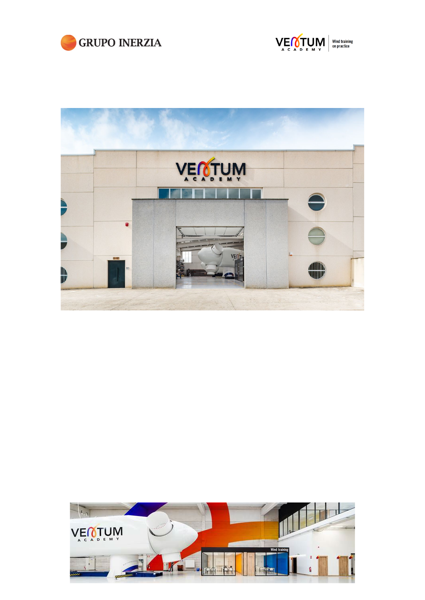